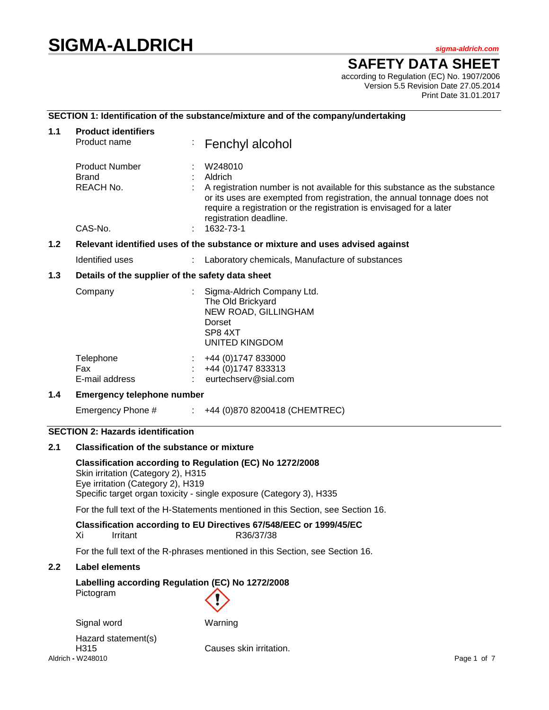# **SIGMA-ALDRICH** *sigma-aldrich.com*

# **SAFETY DATA SHEET**

according to Regulation (EC) No. 1907/2006 Version 5.5 Revision Date 27.05.2014 Print Date 31.01.2017

#### **SECTION 1: Identification of the substance/mixture and of the company/undertaking**

| 1.1           | <b>Product identifiers</b><br>Product name                                    |  | Fenchyl alcohol                                                                                                                                                                                                                                                                           |  |
|---------------|-------------------------------------------------------------------------------|--|-------------------------------------------------------------------------------------------------------------------------------------------------------------------------------------------------------------------------------------------------------------------------------------------|--|
|               | <b>Product Number</b><br>Brand<br>REACH No.<br>CAS-No.                        |  | W248010<br>Aldrich<br>A registration number is not available for this substance as the substance<br>or its uses are exempted from registration, the annual tonnage does not<br>require a registration or the registration is envisaged for a later<br>registration deadline.<br>1632-73-1 |  |
| $1.2$         | Relevant identified uses of the substance or mixture and uses advised against |  |                                                                                                                                                                                                                                                                                           |  |
|               | Identified uses                                                               |  | : Laboratory chemicals, Manufacture of substances                                                                                                                                                                                                                                         |  |
| $1.3$         | Details of the supplier of the safety data sheet                              |  |                                                                                                                                                                                                                                                                                           |  |
|               | Company                                                                       |  | Sigma-Aldrich Company Ltd.<br>The Old Brickyard<br>NEW ROAD, GILLINGHAM<br>Dorset<br>SP8 4XT<br>UNITED KINGDOM                                                                                                                                                                            |  |
|               | Telephone<br>Fax<br>E-mail address                                            |  | +44 (0) 1747 833000<br>+44 (0) 1747 833313<br>eurtechserv@sial.com                                                                                                                                                                                                                        |  |
| $1.4^{\circ}$ | <b>Emergency telephone number</b>                                             |  |                                                                                                                                                                                                                                                                                           |  |
|               | Emergency Phone #                                                             |  | $\div$ +44 (0)870 8200418 (CHEMTREC)                                                                                                                                                                                                                                                      |  |

#### **SECTION 2: Hazards identification**

#### **2.1 Classification of the substance or mixture**

**Classification according to Regulation (EC) No 1272/2008** Skin irritation (Category 2), H315 Eye irritation (Category 2), H319 Specific target organ toxicity - single exposure (Category 3), H335

For the full text of the H-Statements mentioned in this Section, see Section 16.

**Classification according to EU Directives 67/548/EEC or 1999/45/EC**

| Xi | Irritant | R36/37/38 |
|----|----------|-----------|
|    |          |           |

For the full text of the R-phrases mentioned in this Section, see Section 16.

# **2.2 Label elements**

# **Labelling according Regulation (EC) No 1272/2008** Pictogram

Signal word Warning

Aldrich **-** W248010 Page 1 of 7 Hazard statement(s) H315 Causes skin irritation.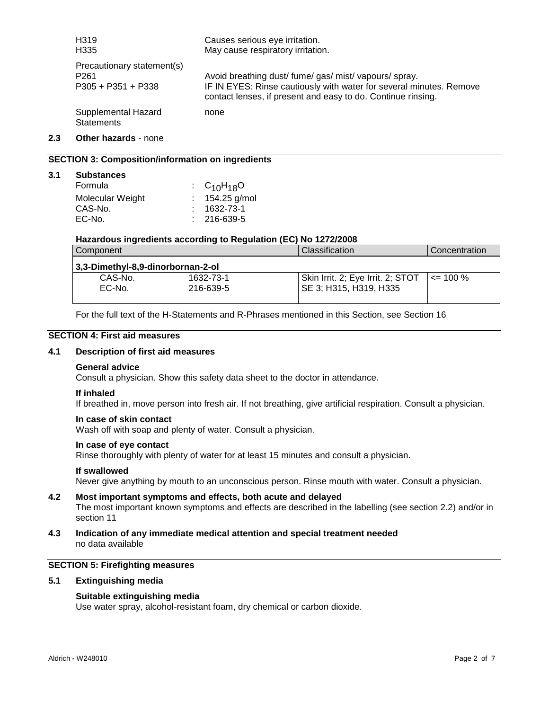| H319                                     | Causes serious eye irritation.                                      |
|------------------------------------------|---------------------------------------------------------------------|
| H <sub>335</sub>                         | May cause respiratory irritation.                                   |
| Precautionary statement(s)               | Avoid breathing dust/ fume/ gas/ mist/ vapours/ spray.              |
| P <sub>261</sub>                         | IF IN EYES: Rinse cautiously with water for several minutes. Remove |
| $P305 + P351 + P338$                     | contact lenses, if present and easy to do. Continue rinsing.        |
| Supplemental Hazard<br><b>Statements</b> | none                                                                |

# **2.3 Other hazards** - none

**3.1 Substances**

#### **SECTION 3: Composition/information on ingredients**

| <b>Substances</b> |                   |
|-------------------|-------------------|
| Formula           | : $C_{10}H_{18}O$ |
| Molecular Weight  | : $154.25$ g/mol  |
| CAS-No.           | 1632-73-1         |
| EC-No.            | $: 216-639-5$     |

#### **Hazardous ingredients according to Regulation (EC) No 1272/2008**

| Component                         |           | Classification                    | Concentration |  |
|-----------------------------------|-----------|-----------------------------------|---------------|--|
| 3,3-Dimethyl-8,9-dinorbornan-2-ol |           |                                   |               |  |
| CAS-No.                           | 1632-73-1 | Skin Irrit. 2; Eye Irrit. 2; STOT | $\leq$ 100 %  |  |
| EC-No.                            | 216-639-5 | SE 3; H315, H319, H335            |               |  |
|                                   |           |                                   |               |  |

For the full text of the H-Statements and R-Phrases mentioned in this Section, see Section 16

#### **SECTION 4: First aid measures**

#### **4.1 Description of first aid measures**

#### **General advice**

Consult a physician. Show this safety data sheet to the doctor in attendance.

#### **If inhaled**

If breathed in, move person into fresh air. If not breathing, give artificial respiration. Consult a physician.

#### **In case of skin contact**

Wash off with soap and plenty of water. Consult a physician.

#### **In case of eye contact**

Rinse thoroughly with plenty of water for at least 15 minutes and consult a physician.

#### **If swallowed**

Never give anything by mouth to an unconscious person. Rinse mouth with water. Consult a physician.

- **4.2 Most important symptoms and effects, both acute and delayed** The most important known symptoms and effects are described in the labelling (see section 2.2) and/or in section 11
- **4.3 Indication of any immediate medical attention and special treatment needed** no data available

#### **SECTION 5: Firefighting measures**

#### **5.1 Extinguishing media**

#### **Suitable extinguishing media**

Use water spray, alcohol-resistant foam, dry chemical or carbon dioxide.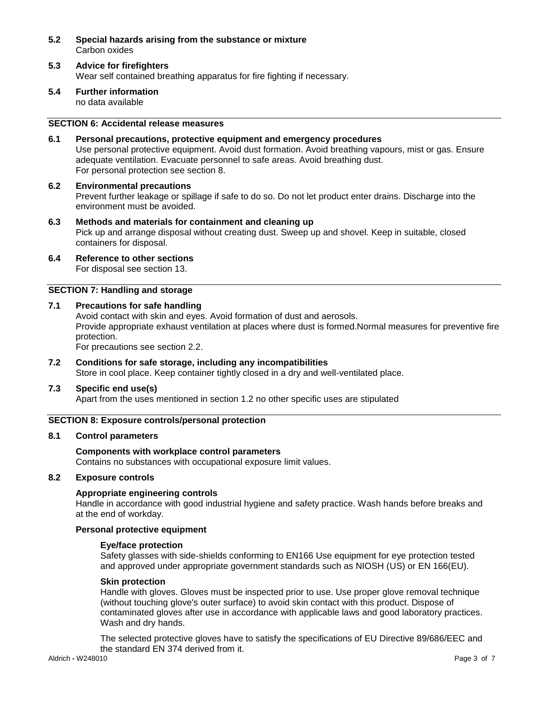- **5.2 Special hazards arising from the substance or mixture** Carbon oxides
- **5.3 Advice for firefighters** Wear self contained breathing apparatus for fire fighting if necessary.
- **5.4 Further information** no data available

# **SECTION 6: Accidental release measures**

- **6.1 Personal precautions, protective equipment and emergency procedures** Use personal protective equipment. Avoid dust formation. Avoid breathing vapours, mist or gas. Ensure adequate ventilation. Evacuate personnel to safe areas. Avoid breathing dust. For personal protection see section 8.
- **6.2 Environmental precautions** Prevent further leakage or spillage if safe to do so. Do not let product enter drains. Discharge into the environment must be avoided.
- **6.3 Methods and materials for containment and cleaning up** Pick up and arrange disposal without creating dust. Sweep up and shovel. Keep in suitable, closed containers for disposal.
- **6.4 Reference to other sections** For disposal see section 13.

#### **SECTION 7: Handling and storage**

#### **7.1 Precautions for safe handling**

Avoid contact with skin and eyes. Avoid formation of dust and aerosols. Provide appropriate exhaust ventilation at places where dust is formed.Normal measures for preventive fire protection.

For precautions see section 2.2.

**7.2 Conditions for safe storage, including any incompatibilities** Store in cool place. Keep container tightly closed in a dry and well-ventilated place.

#### **7.3 Specific end use(s)**

Apart from the uses mentioned in section 1.2 no other specific uses are stipulated

#### **SECTION 8: Exposure controls/personal protection**

#### **8.1 Control parameters**

# **Components with workplace control parameters**

Contains no substances with occupational exposure limit values.

#### **8.2 Exposure controls**

#### **Appropriate engineering controls**

Handle in accordance with good industrial hygiene and safety practice. Wash hands before breaks and at the end of workday.

#### **Personal protective equipment**

#### **Eye/face protection**

Safety glasses with side-shields conforming to EN166 Use equipment for eye protection tested and approved under appropriate government standards such as NIOSH (US) or EN 166(EU).

#### **Skin protection**

Handle with gloves. Gloves must be inspected prior to use. Use proper glove removal technique (without touching glove's outer surface) to avoid skin contact with this product. Dispose of contaminated gloves after use in accordance with applicable laws and good laboratory practices. Wash and dry hands.

The selected protective gloves have to satisfy the specifications of EU Directive 89/686/EEC and the standard EN 374 derived from it.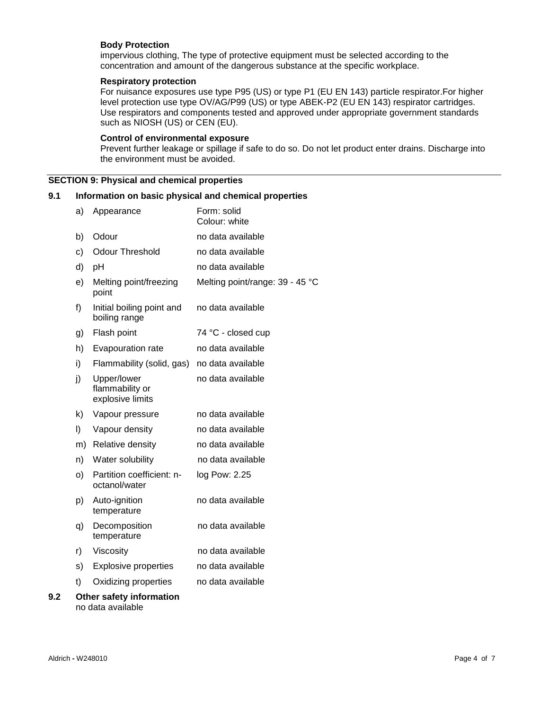#### **Body Protection**

impervious clothing, The type of protective equipment must be selected according to the concentration and amount of the dangerous substance at the specific workplace.

#### **Respiratory protection**

For nuisance exposures use type P95 (US) or type P1 (EU EN 143) particle respirator.For higher level protection use type OV/AG/P99 (US) or type ABEK-P2 (EU EN 143) respirator cartridges. Use respirators and components tested and approved under appropriate government standards such as NIOSH (US) or CEN (EU).

#### **Control of environmental exposure**

Prevent further leakage or spillage if safe to do so. Do not let product enter drains. Discharge into the environment must be avoided.

#### **SECTION 9: Physical and chemical properties**

# **9.1 Information on basic physical and chemical properties**

|     | a)      | Appearance                                         | Form: solid<br>Colour: white    |
|-----|---------|----------------------------------------------------|---------------------------------|
|     | b)      | Odour                                              | no data available               |
|     | C)      | <b>Odour Threshold</b>                             | no data available               |
|     | d)      | pH                                                 | no data available               |
|     | e)      | Melting point/freezing<br>point                    | Melting point/range: 39 - 45 °C |
|     | f)      | Initial boiling point and<br>boiling range         | no data available               |
|     | g)      | Flash point                                        | 74 °C - closed cup              |
|     | h)      | Evapouration rate                                  | no data available               |
|     | i)      | Flammability (solid, gas)                          | no data available               |
|     | j)      | Upper/lower<br>flammability or<br>explosive limits | no data available               |
|     | k)      | Vapour pressure                                    | no data available               |
|     | $\vert$ | Vapour density                                     | no data available               |
|     | m)      | <b>Relative density</b>                            | no data available               |
|     | n)      | Water solubility                                   | no data available               |
|     | O)      | Partition coefficient: n-<br>octanol/water         | log Pow: 2.25                   |
|     | p)      | Auto-ignition<br>temperature                       | no data available               |
|     | q)      | Decomposition<br>temperature                       | no data available               |
|     | r)      | Viscosity                                          | no data available               |
|     | s)      | <b>Explosive properties</b>                        | no data available               |
|     | t)      | Oxidizing properties                               | no data available               |
| 9.2 |         | Other safety information                           |                                 |

no data available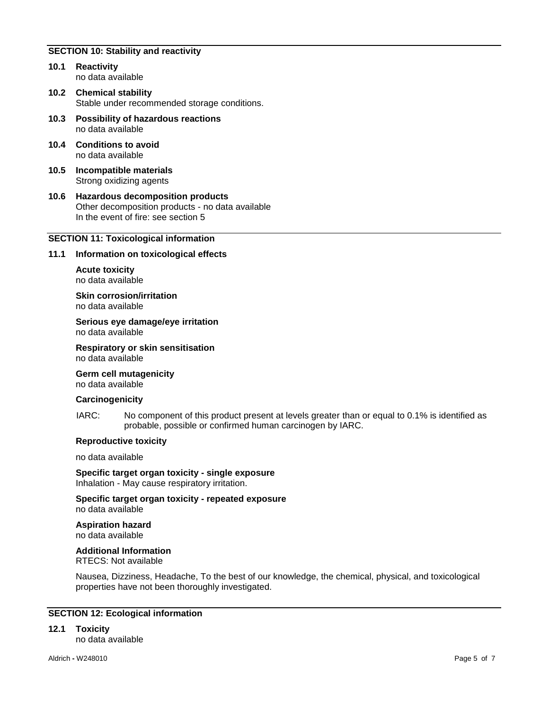#### **SECTION 10: Stability and reactivity**

- **10.1 Reactivity** no data available
- **10.2 Chemical stability** Stable under recommended storage conditions.
- **10.3 Possibility of hazardous reactions** no data available
- **10.4 Conditions to avoid** no data available
- **10.5 Incompatible materials** Strong oxidizing agents
- **10.6 Hazardous decomposition products** Other decomposition products - no data available In the event of fire: see section 5

#### **SECTION 11: Toxicological information**

#### **11.1 Information on toxicological effects**

**Acute toxicity** no data available

**Skin corrosion/irritation** no data available

**Serious eye damage/eye irritation** no data available

**Respiratory or skin sensitisation** no data available

**Germ cell mutagenicity**

no data available

#### **Carcinogenicity**

IARC: No component of this product present at levels greater than or equal to 0.1% is identified as probable, possible or confirmed human carcinogen by IARC.

#### **Reproductive toxicity**

no data available

**Specific target organ toxicity - single exposure** Inhalation - May cause respiratory irritation.

**Specific target organ toxicity - repeated exposure** no data available

**Aspiration hazard** no data available

**Additional Information**

RTECS: Not available

Nausea, Dizziness, Headache, To the best of our knowledge, the chemical, physical, and toxicological properties have not been thoroughly investigated.

#### **SECTION 12: Ecological information**

**12.1 Toxicity**

no data available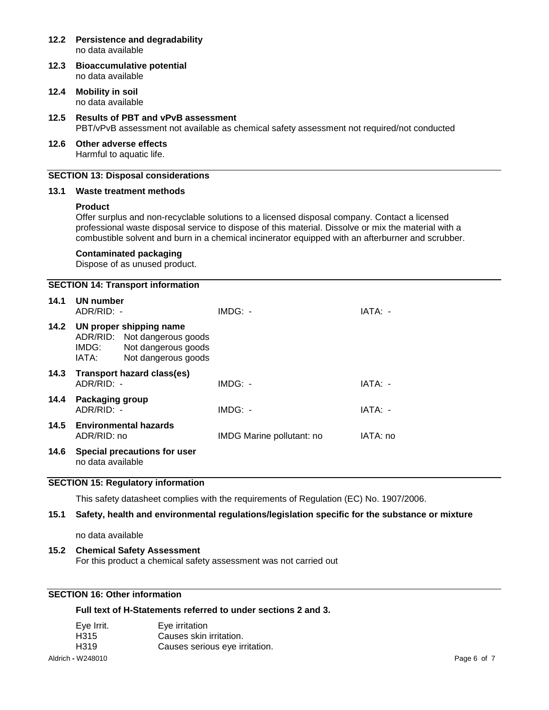# **12.2 Persistence and degradability** no data available **12.3 Bioaccumulative potential** no data available **12.4 Mobility in soil** no data available **12.5 Results of PBT and vPvB assessment** PBT/vPvB assessment not available as chemical safety assessment not required/not conducted **12.6 Other adverse effects** Harmful to aquatic life. **SECTION 13: Disposal considerations 13.1 Waste treatment methods Product** Offer surplus and non-recyclable solutions to a licensed disposal company. Contact a licensed professional waste disposal service to dispose of this material. Dissolve or mix the material with a combustible solvent and burn in a chemical incinerator equipped with an afterburner and scrubber. **Contaminated packaging** Dispose of as unused product. **SECTION 14: Transport information 14.1 UN number** ADR/RID: - IMDG: - IATA: - **14.2 UN proper shipping name** ADR/RID: Not dangerous goods IMDG: Not dangerous goods<br>IATA: Not dangerous goods Not dangerous goods **14.3 Transport hazard class(es)** ADR/RID: - IMDG: - IMDG: - IATA: -**14.4 Packaging group** ADR/RID: - IMDG: - IMDG: - IATA: -

ADR/RID: no IMDG Marine pollutant: no IATA: no **14.6 Special precautions for user** no data available

**14.5 Environmental hazards**

## **SECTION 15: Regulatory information**

This safety datasheet complies with the requirements of Regulation (EC) No. 1907/2006.

# **15.1 Safety, health and environmental regulations/legislation specific for the substance or mixture**

no data available

## **15.2 Chemical Safety Assessment**

For this product a chemical safety assessment was not carried out

# **SECTION 16: Other information**

# **Full text of H-Statements referred to under sections 2 and 3.**

| Eve Irrit.        | Eve irritation                 |             |
|-------------------|--------------------------------|-------------|
| H315              | Causes skin irritation.        |             |
| H <sub>3</sub> 19 | Causes serious eye irritation. |             |
| Aldrich - W248010 |                                | Page 6 of 7 |